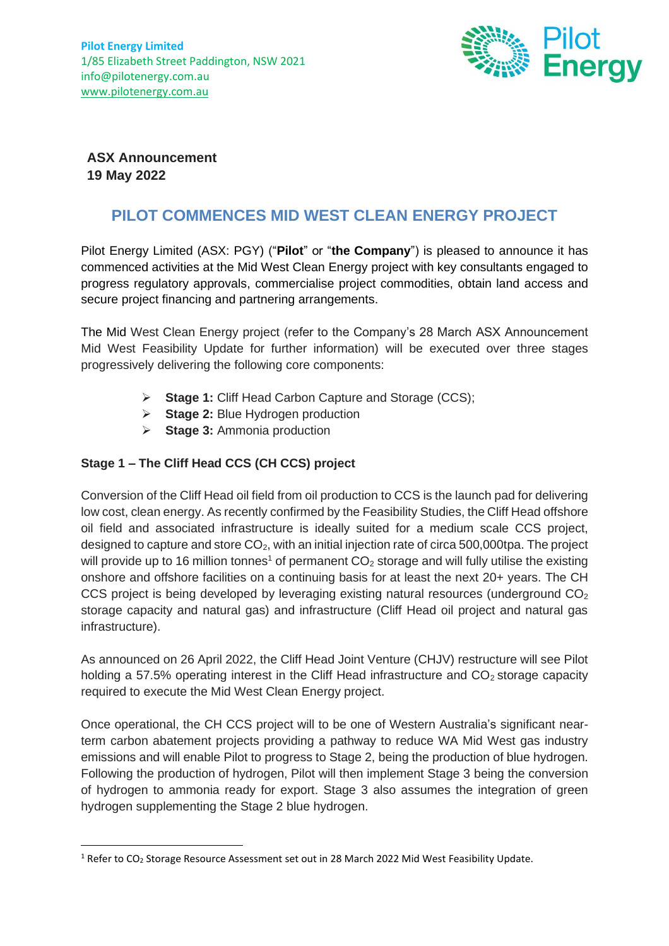

**ASX Announcement 19 May 2022**

# **PILOT COMMENCES MID WEST CLEAN ENERGY PROJECT**

Pilot Energy Limited (ASX: PGY) ("**Pilot**" or "**the Company**") is pleased to announce it has commenced activities at the Mid West Clean Energy project with key consultants engaged to progress regulatory approvals, commercialise project commodities, obtain land access and secure project financing and partnering arrangements.

The Mid West Clean Energy project (refer to the Company's 28 March ASX Announcement Mid West Feasibility Update for further information) will be executed over three stages progressively delivering the following core components:

- ➢ **Stage 1:** Cliff Head Carbon Capture and Storage (CCS);
- ➢ **Stage 2:** Blue Hydrogen production
- ➢ **Stage 3:** Ammonia production

# **Stage 1 – The Cliff Head CCS (CH CCS) project**

Conversion of the Cliff Head oil field from oil production to CCS is the launch pad for delivering low cost, clean energy. As recently confirmed by the Feasibility Studies, the Cliff Head offshore oil field and associated infrastructure is ideally suited for a medium scale CCS project, designed to capture and store  $CO<sub>2</sub>$ , with an initial injection rate of circa 500,000tpa. The project will provide up to 16 million tonnes<sup>1</sup> of permanent  $CO<sub>2</sub>$  storage and will fully utilise the existing onshore and offshore facilities on a continuing basis for at least the next 20+ years. The CH CCS project is being developed by leveraging existing natural resources (underground CO<sub>2</sub> storage capacity and natural gas) and infrastructure (Cliff Head oil project and natural gas infrastructure).

As announced on 26 April 2022, the Cliff Head Joint Venture (CHJV) restructure will see Pilot holding a 57.5% operating interest in the Cliff Head infrastructure and  $CO<sub>2</sub>$  storage capacity required to execute the Mid West Clean Energy project.

Once operational, the CH CCS project will to be one of Western Australia's significant nearterm carbon abatement projects providing a pathway to reduce WA Mid West gas industry emissions and will enable Pilot to progress to Stage 2, being the production of blue hydrogen. Following the production of hydrogen, Pilot will then implement Stage 3 being the conversion of hydrogen to ammonia ready for export. Stage 3 also assumes the integration of green hydrogen supplementing the Stage 2 blue hydrogen.

<sup>&</sup>lt;sup>1</sup> Refer to CO<sub>2</sub> Storage Resource Assessment set out in 28 March 2022 Mid West Feasibility Update.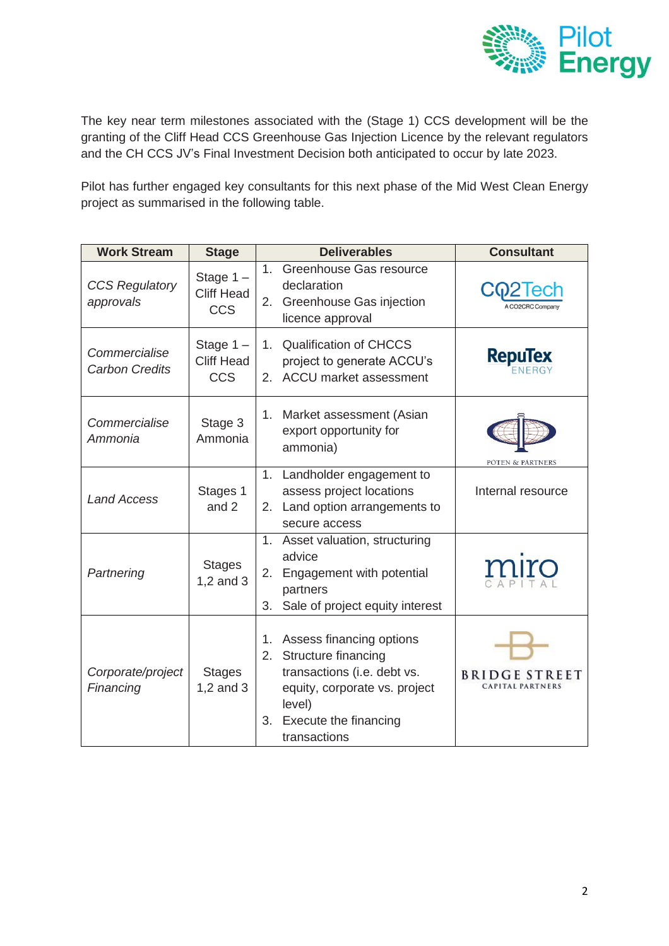

The key near term milestones associated with the (Stage 1) CCS development will be the granting of the Cliff Head CCS Greenhouse Gas Injection Licence by the relevant regulators and the CH CCS JV's Final Investment Decision both anticipated to occur by late 2023.

Pilot has further engaged key consultants for this next phase of the Mid West Clean Energy project as summarised in the following table.

| <b>Work Stream</b>                     | <b>Stage</b>                                   | <b>Deliverables</b>                                                                                                                                                                      | <b>Consultant</b>                |
|----------------------------------------|------------------------------------------------|------------------------------------------------------------------------------------------------------------------------------------------------------------------------------------------|----------------------------------|
| <b>CCS Regulatory</b><br>approvals     | Stage $1 -$<br><b>Cliff Head</b><br><b>CCS</b> | Greenhouse Gas resource<br>1 <sub>1</sub><br>declaration<br>Greenhouse Gas injection<br>2.<br>licence approval                                                                           | <b>A CO2CRC Company</b>          |
| Commercialise<br><b>Carbon Credits</b> | Stage $1 -$<br><b>Cliff Head</b><br><b>CCS</b> | <b>Qualification of CHCCS</b><br>$1_{\cdot}$<br>project to generate ACCU's<br>ACCU market assessment<br>2 <sub>1</sub>                                                                   | <b>RepuTex</b>                   |
| Commercialise<br>Ammonia               | Stage 3<br>Ammonia                             | Market assessment (Asian<br>1.<br>export opportunity for<br>ammonia)                                                                                                                     | POTEN & PARTNERS                 |
| <b>Land Access</b>                     | Stages 1<br>and 2                              | 1. Landholder engagement to<br>assess project locations<br>Land option arrangements to<br>2.<br>secure access                                                                            | Internal resource                |
| Partnering                             | <b>Stages</b><br>$1,2$ and $3$                 | 1.<br>Asset valuation, structuring<br>advice<br>Engagement with potential<br>2.<br>partners<br>Sale of project equity interest<br>3.                                                     | miro                             |
| Corporate/project<br>Financing         | <b>Stages</b><br>$1,2$ and $3$                 | 1. Assess financing options<br>Structure financing<br>2.<br>transactions (i.e. debt vs.<br>equity, corporate vs. project<br>level)<br><b>Execute the financing</b><br>3.<br>transactions | BRIDG<br><b>CAPITAL PARTNERS</b> |